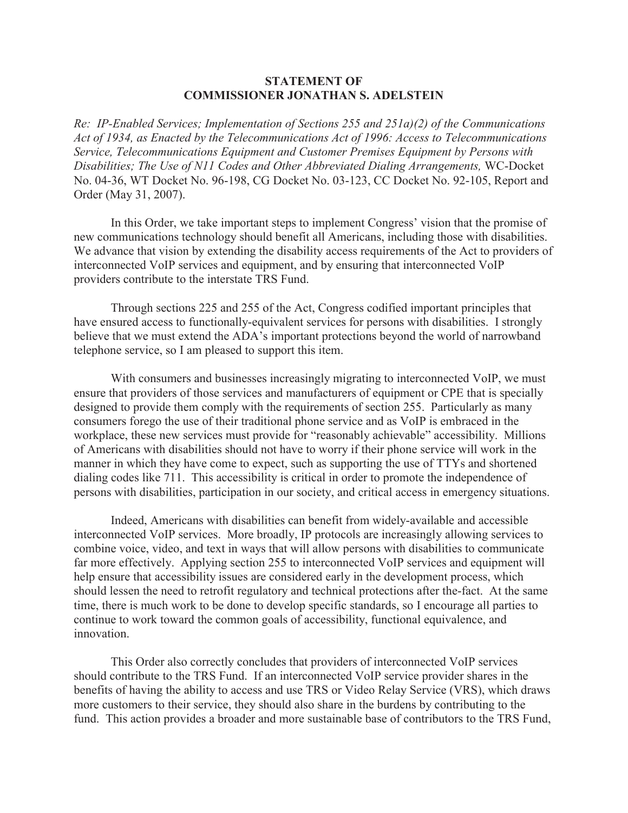## **STATEMENT OF COMMISSIONER JONATHAN S. ADELSTEIN**

*Re: IP-Enabled Services; Implementation of Sections 255 and 251a)(2) of the Communications Act of 1934, as Enacted by the Telecommunications Act of 1996: Access to Telecommunications Service, Telecommunications Equipment and Customer Premises Equipment by Persons with Disabilities; The Use of N11 Codes and Other Abbreviated Dialing Arrangements,* WC-Docket No. 04-36, WT Docket No. 96-198, CG Docket No. 03-123, CC Docket No. 92-105, Report and Order (May 31, 2007).

In this Order, we take important steps to implement Congress' vision that the promise of new communications technology should benefit all Americans, including those with disabilities. We advance that vision by extending the disability access requirements of the Act to providers of interconnected VoIP services and equipment, and by ensuring that interconnected VoIP providers contribute to the interstate TRS Fund.

Through sections 225 and 255 of the Act, Congress codified important principles that have ensured access to functionally-equivalent services for persons with disabilities. I strongly believe that we must extend the ADA's important protections beyond the world of narrowband telephone service, so I am pleased to support this item.

With consumers and businesses increasingly migrating to interconnected VoIP, we must ensure that providers of those services and manufacturers of equipment or CPE that is specially designed to provide them comply with the requirements of section 255. Particularly as many consumers forego the use of their traditional phone service and as VoIP is embraced in the workplace, these new services must provide for "reasonably achievable" accessibility. Millions of Americans with disabilities should not have to worry if their phone service will work in the manner in which they have come to expect, such as supporting the use of TTYs and shortened dialing codes like 711. This accessibility is critical in order to promote the independence of persons with disabilities, participation in our society, and critical access in emergency situations.

Indeed, Americans with disabilities can benefit from widely-available and accessible interconnected VoIP services. More broadly, IP protocols are increasingly allowing services to combine voice, video, and text in ways that will allow persons with disabilities to communicate far more effectively. Applying section 255 to interconnected VoIP services and equipment will help ensure that accessibility issues are considered early in the development process, which should lessen the need to retrofit regulatory and technical protections after the-fact. At the same time, there is much work to be done to develop specific standards, so I encourage all parties to continue to work toward the common goals of accessibility, functional equivalence, and innovation.

This Order also correctly concludes that providers of interconnected VoIP services should contribute to the TRS Fund. If an interconnected VoIP service provider shares in the benefits of having the ability to access and use TRS or Video Relay Service (VRS), which draws more customers to their service, they should also share in the burdens by contributing to the fund. This action provides a broader and more sustainable base of contributors to the TRS Fund,